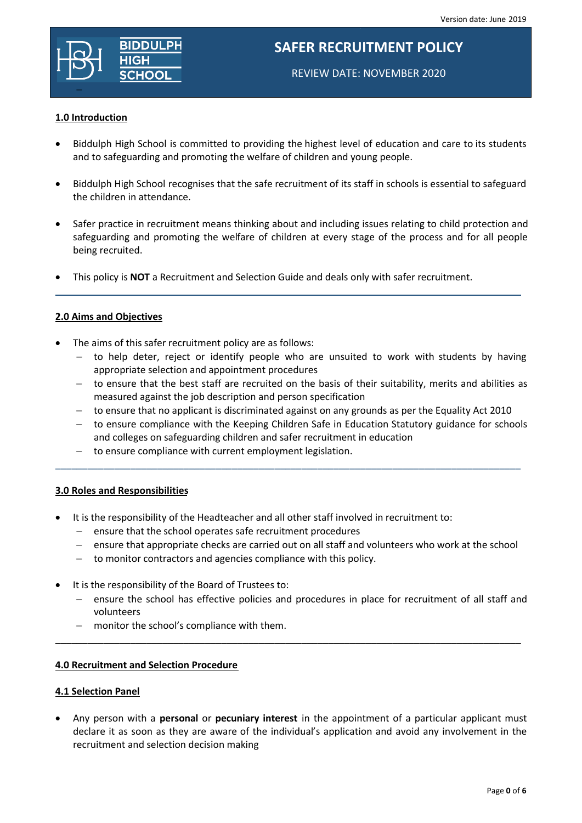

# **SAFER RECRUITMENT POLICY**

REVIEW DATE: NOVEMBER 2020

### **1.0 Introduction**

- Biddulph High School is committed to providing the highest level of education and care to its students and to safeguarding and promoting the welfare of children and young people.
- Biddulph High School recognises that the safe recruitment of its staff in schools is essential to safeguard the children in attendance.
- Safer practice in recruitment means thinking about and including issues relating to child protection and safeguarding and promoting the welfare of children at every stage of the process and for all people being recruited.

 $\_$  . The contribution of the contribution of the contribution of the contribution of  $\mathcal{L}_\mathcal{A}$ 

This policy is **NOT** a Recruitment and Selection Guide and deals only with safer recruitment.

## **2.0 Aims and Objectives**

- The aims of this safer recruitment policy are as follows:
	- $-$  to help deter, reject or identify people who are unsuited to work with students by having appropriate selection and appointment procedures
	- to ensure that the best staff are recruited on the basis of their suitability, merits and abilities as measured against the job description and person specification
	- $-$  to ensure that no applicant is discriminated against on any grounds as per the Equality Act 2010

\_\_\_\_\_\_\_\_\_\_\_\_\_\_\_\_\_\_\_\_\_\_\_\_\_\_\_\_\_\_\_\_\_\_\_\_\_\_\_\_\_\_\_\_\_\_\_\_\_\_\_\_\_\_\_\_\_\_\_\_\_\_\_\_\_\_\_\_\_\_\_\_\_\_\_\_\_\_\_\_\_\_\_\_\_\_\_

- to ensure compliance with the Keeping Children Safe in Education Statutory guidance for schools and colleges on safeguarding children and safer recruitment in education
- to ensure compliance with current employment legislation.

### **3.0 Roles and Responsibilities**

- It is the responsibility of the Headteacher and all other staff involved in recruitment to:
	- $-$  ensure that the school operates safe recruitment procedures
	- ensure that appropriate checks are carried out on all staff and volunteers who work at the school
	- to monitor contractors and agencies compliance with this policy.
- It is the responsibility of the Board of Trustees to:
	- ensure the school has effective policies and procedures in place for recruitment of all staff and volunteers

\_\_\_\_\_\_\_\_\_\_\_\_\_\_\_\_\_\_\_\_\_\_\_\_\_\_\_\_\_\_\_\_\_\_\_\_\_\_\_\_\_\_\_\_\_\_\_\_\_\_\_\_\_\_\_\_\_\_\_\_\_\_\_\_\_\_\_\_\_\_\_\_\_\_\_\_\_\_\_\_\_\_\_\_\_\_\_

monitor the school's compliance with them.

### **4.0 Recruitment and Selection Procedure**

### **4.1 Selection Panel**

 Any person with a **personal** or **pecuniary interest** in the appointment of a particular applicant must declare it as soon as they are aware of the individual's application and avoid any involvement in the recruitment and selection decision making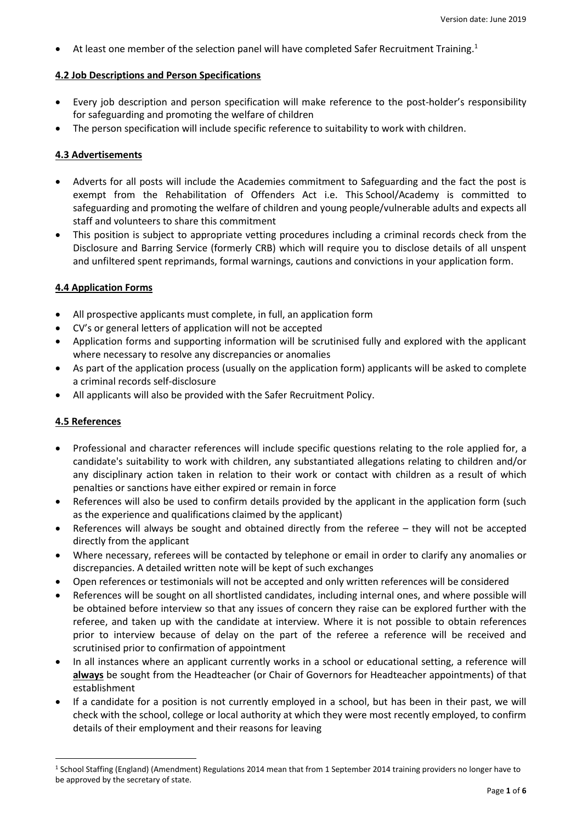• At least one member of the selection panel will have completed Safer Recruitment Training.<sup>1</sup>

## **4.2 Job Descriptions and Person Specifications**

- Every job description and person specification will make reference to the post-holder's responsibility for safeguarding and promoting the welfare of children
- The person specification will include specific reference to suitability to work with children.

# **4.3 Advertisements**

- Adverts for all posts will include the Academies commitment to Safeguarding and the fact the post is exempt from the Rehabilitation of Offenders Act i.e. This School/Academy is committed to safeguarding and promoting the welfare of children and young people/vulnerable adults and expects all staff and volunteers to share this commitment
- This position is subject to appropriate vetting procedures including a criminal records check from the Disclosure and Barring Service (formerly CRB) which will require you to disclose details of all unspent and unfiltered spent reprimands, formal warnings, cautions and convictions in your application form.

# **4.4 Application Forms**

- All prospective applicants must complete, in full, an application form
- CV's or general letters of application will not be accepted
- Application forms and supporting information will be scrutinised fully and explored with the applicant where necessary to resolve any discrepancies or anomalies
- As part of the application process (usually on the application form) applicants will be asked to complete a criminal records self-disclosure
- All applicants will also be provided with the Safer Recruitment Policy.

# **4.5 References**

**.** 

- Professional and character references will include specific questions relating to the role applied for, a candidate's suitability to work with children, any substantiated allegations relating to children and/or any disciplinary action taken in relation to their work or contact with children as a result of which penalties or sanctions have either expired or remain in force
- References will also be used to confirm details provided by the applicant in the application form (such as the experience and qualifications claimed by the applicant)
- References will always be sought and obtained directly from the referee they will not be accepted directly from the applicant
- Where necessary, referees will be contacted by telephone or email in order to clarify any anomalies or discrepancies. A detailed written note will be kept of such exchanges
- Open references or testimonials will not be accepted and only written references will be considered
- References will be sought on all shortlisted candidates, including internal ones, and where possible will be obtained before interview so that any issues of concern they raise can be explored further with the referee, and taken up with the candidate at interview. Where it is not possible to obtain references prior to interview because of delay on the part of the referee a reference will be received and scrutinised prior to confirmation of appointment
- In all instances where an applicant currently works in a school or educational setting, a reference will **always** be sought from the Headteacher (or Chair of Governors for Headteacher appointments) of that establishment
- If a candidate for a position is not currently employed in a school, but has been in their past, we will check with the school, college or local authority at which they were most recently employed, to confirm details of their employment and their reasons for leaving

<sup>1</sup> School Staffing (England) (Amendment) Regulations 2014 mean that from 1 September 2014 training providers no longer have to be approved by the secretary of state.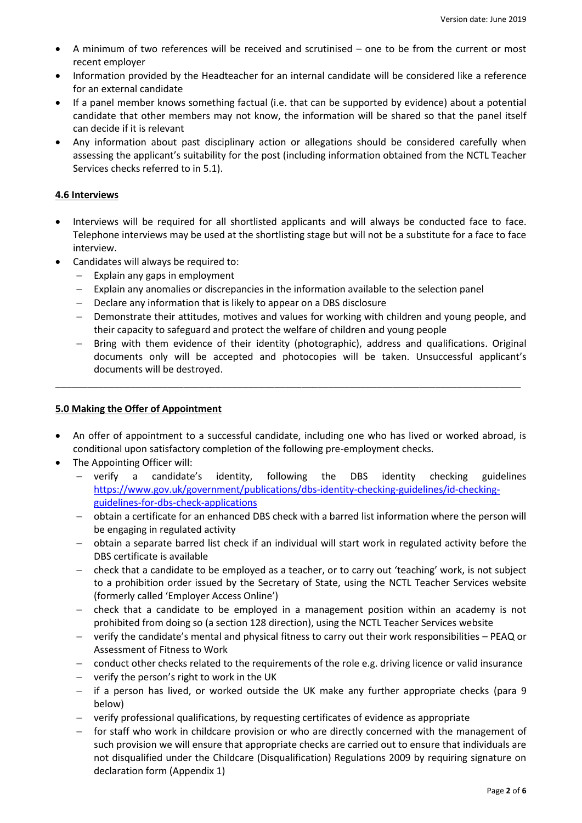- A minimum of two references will be received and scrutinised one to be from the current or most recent employer
- Information provided by the Headteacher for an internal candidate will be considered like a reference for an external candidate
- If a panel member knows something factual (i.e. that can be supported by evidence) about a potential candidate that other members may not know, the information will be shared so that the panel itself can decide if it is relevant
- Any information about past disciplinary action or allegations should be considered carefully when assessing the applicant's suitability for the post (including information obtained from the NCTL Teacher Services checks referred to in 5.1).

### **4.6 Interviews**

- Interviews will be required for all shortlisted applicants and will always be conducted face to face. Telephone interviews may be used at the shortlisting stage but will not be a substitute for a face to face interview.
- Candidates will always be required to:
	- $-$  Explain any gaps in employment
	- Explain any anomalies or discrepancies in the information available to the selection panel
	- Declare any information that is likely to appear on a DBS disclosure
	- Demonstrate their attitudes, motives and values for working with children and young people, and their capacity to safeguard and protect the welfare of children and young people
	- Bring with them evidence of their identity (photographic), address and qualifications. Original documents only will be accepted and photocopies will be taken. Unsuccessful applicant's documents will be destroyed.

# **5.0 Making the Offer of Appointment**

 An offer of appointment to a successful candidate, including one who has lived or worked abroad, is conditional upon satisfactory completion of the following pre-employment checks.

\_\_\_\_\_\_\_\_\_\_\_\_\_\_\_\_\_\_\_\_\_\_\_\_\_\_\_\_\_\_\_\_\_\_\_\_\_\_\_\_\_\_\_\_\_\_\_\_\_\_\_\_\_\_\_\_\_\_\_\_\_\_\_\_\_\_\_\_\_\_\_\_\_\_\_\_\_\_\_\_\_\_\_\_\_\_\_

- The Appointing Officer will:
	- verify a candidate's identity, following the DBS identity checking guidelines [https://www.gov.uk/government/publications/dbs-identity-checking-guidelines/id-checking](https://www.gov.uk/government/publications/dbs-identity-checking-guidelines/id-checking-guidelines-for-dbs-check-applications)[guidelines-for-dbs-check-applications](https://www.gov.uk/government/publications/dbs-identity-checking-guidelines/id-checking-guidelines-for-dbs-check-applications)
	- obtain a certificate for an enhanced DBS check with a barred list information where the person will be engaging in regulated activity
	- obtain a separate barred list check if an individual will start work in regulated activity before the DBS certificate is available
	- check that a candidate to be employed as a teacher, or to carry out 'teaching' work, is not subject to a prohibition order issued by the Secretary of State, using the NCTL Teacher Services website (formerly called 'Employer Access Online')
	- check that a candidate to be employed in a management position within an academy is not prohibited from doing so (a section 128 direction), using the NCTL Teacher Services website
	- verify the candidate's mental and physical fitness to carry out their work responsibilities PEAQ or Assessment of Fitness to Work
	- conduct other checks related to the requirements of the role e.g. driving licence or valid insurance
	- $-$  verify the person's right to work in the UK
	- if a person has lived, or worked outside the UK make any further appropriate checks (para 9 below)
	- verify professional qualifications, by requesting certificates of evidence as appropriate
	- for staff who work in childcare provision or who are directly concerned with the management of such provision we will ensure that appropriate checks are carried out to ensure that individuals are not disqualified under the Childcare (Disqualification) Regulations 2009 by requiring signature on declaration form (Appendix 1)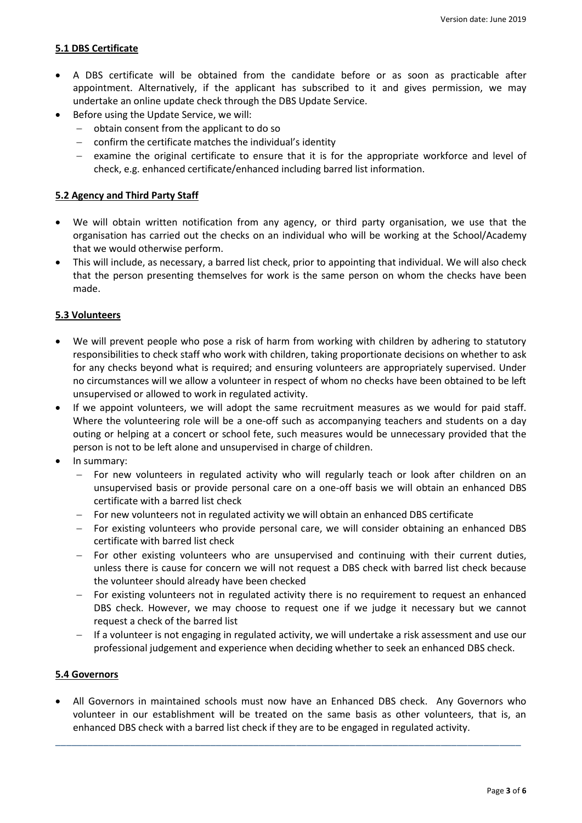### **5.1 DBS Certificate**

- A DBS certificate will be obtained from the candidate before or as soon as practicable after appointment. Alternatively, if the applicant has subscribed to it and gives permission, we may undertake an online update check through the DBS Update Service.
- Before using the Update Service, we will:
	- obtain consent from the applicant to do so
	- $-$  confirm the certificate matches the individual's identity
	- $-$  examine the original certificate to ensure that it is for the appropriate workforce and level of check, e.g. enhanced certificate/enhanced including barred list information.

### **5.2 Agency and Third Party Staff**

- We will obtain written notification from any agency, or third party organisation, we use that the organisation has carried out the checks on an individual who will be working at the School/Academy that we would otherwise perform.
- This will include, as necessary, a barred list check, prior to appointing that individual. We will also check that the person presenting themselves for work is the same person on whom the checks have been made.

### **5.3 Volunteers**

- We will prevent people who pose a risk of harm from working with children by adhering to statutory responsibilities to check staff who work with children, taking proportionate decisions on whether to ask for any checks beyond what is required; and ensuring volunteers are appropriately supervised. Under no circumstances will we allow a volunteer in respect of whom no checks have been obtained to be left unsupervised or allowed to work in regulated activity.
- If we appoint volunteers, we will adopt the same recruitment measures as we would for paid staff. Where the volunteering role will be a one-off such as accompanying teachers and students on a day outing or helping at a concert or school fete, such measures would be unnecessary provided that the person is not to be left alone and unsupervised in charge of children.
- In summary:
	- For new volunteers in regulated activity who will regularly teach or look after children on an unsupervised basis or provide personal care on a one-off basis we will obtain an enhanced DBS certificate with a barred list check
	- For new volunteers not in regulated activity we will obtain an enhanced DBS certificate
	- For existing volunteers who provide personal care, we will consider obtaining an enhanced DBS certificate with barred list check
	- $-$  For other existing volunteers who are unsupervised and continuing with their current duties, unless there is cause for concern we will not request a DBS check with barred list check because the volunteer should already have been checked
	- For existing volunteers not in regulated activity there is no requirement to request an enhanced DBS check. However, we may choose to request one if we judge it necessary but we cannot request a check of the barred list
	- If a volunteer is not engaging in regulated activity, we will undertake a risk assessment and use our professional judgement and experience when deciding whether to seek an enhanced DBS check.

### **5.4 Governors**

 All Governors in maintained schools must now have an Enhanced DBS check. Any Governors who volunteer in our establishment will be treated on the same basis as other volunteers, that is, an enhanced DBS check with a barred list check if they are to be engaged in regulated activity.

\_\_\_\_\_\_\_\_\_\_\_\_\_\_\_\_\_\_\_\_\_\_\_\_\_\_\_\_\_\_\_\_\_\_\_\_\_\_\_\_\_\_\_\_\_\_\_\_\_\_\_\_\_\_\_\_\_\_\_\_\_\_\_\_\_\_\_\_\_\_\_\_\_\_\_\_\_\_\_\_\_\_\_\_\_\_\_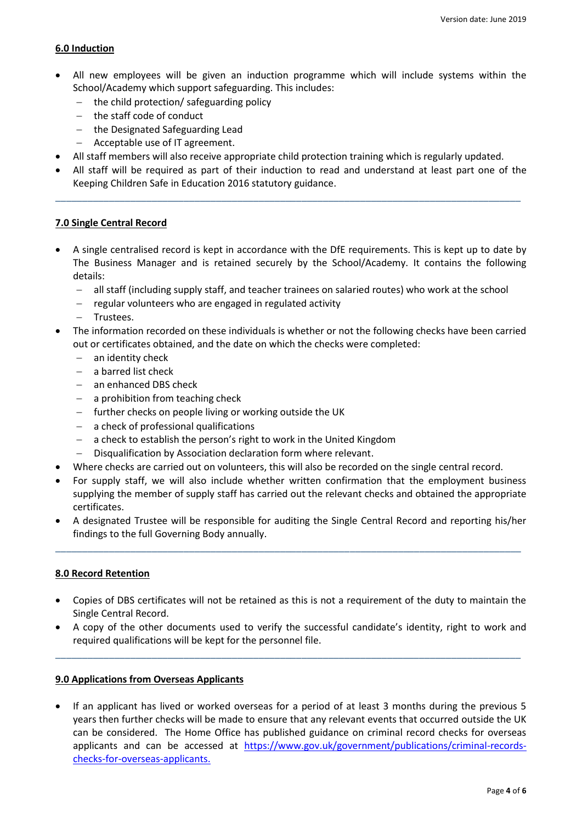### **6.0 Induction**

- All new employees will be given an induction programme which will include systems within the School/Academy which support safeguarding. This includes:
	- $-$  the child protection/ safeguarding policy
	- the staff code of conduct
	- the Designated Safeguarding Lead
	- Acceptable use of IT agreement.
- All staff members will also receive appropriate child protection training which is regularly updated.
- All staff will be required as part of their induction to read and understand at least part one of the Keeping Children Safe in Education 2016 statutory guidance.

\_\_\_\_\_\_\_\_\_\_\_\_\_\_\_\_\_\_\_\_\_\_\_\_\_\_\_\_\_\_\_\_\_\_\_\_\_\_\_\_\_\_\_\_\_\_\_\_\_\_\_\_\_\_\_\_\_\_\_\_\_\_\_\_\_\_\_\_\_\_\_\_\_\_\_\_\_\_\_\_\_\_\_\_\_\_\_

### **7.0 Single Central Record**

- A single centralised record is kept in accordance with the DfE requirements. This is kept up to date by The Business Manager and is retained securely by the School/Academy. It contains the following details:
	- all staff (including supply staff, and teacher trainees on salaried routes) who work at the school
	- $-$  regular volunteers who are engaged in regulated activity
	- Trustees.
- The information recorded on these individuals is whether or not the following checks have been carried out or certificates obtained, and the date on which the checks were completed:
	- an identity check
	- $-$  a barred list check
	- an enhanced DBS check
	- a prohibition from teaching check
	- $-$  further checks on people living or working outside the UK
	- a check of professional qualifications
	- a check to establish the person's right to work in the United Kingdom
	- Disqualification by Association declaration form where relevant.
- Where checks are carried out on volunteers, this will also be recorded on the single central record.
- For supply staff, we will also include whether written confirmation that the employment business supplying the member of supply staff has carried out the relevant checks and obtained the appropriate certificates.
- A designated Trustee will be responsible for auditing the Single Central Record and reporting his/her findings to the full Governing Body annually.

\_\_\_\_\_\_\_\_\_\_\_\_\_\_\_\_\_\_\_\_\_\_\_\_\_\_\_\_\_\_\_\_\_\_\_\_\_\_\_\_\_\_\_\_\_\_\_\_\_\_\_\_\_\_\_\_\_\_\_\_\_\_\_\_\_\_\_\_\_\_\_\_\_\_\_\_\_\_\_\_\_\_\_\_\_\_\_

## **8.0 Record Retention**

- Copies of DBS certificates will not be retained as this is not a requirement of the duty to maintain the Single Central Record.
- A copy of the other documents used to verify the successful candidate's identity, right to work and required qualifications will be kept for the personnel file.

\_\_\_\_\_\_\_\_\_\_\_\_\_\_\_\_\_\_\_\_\_\_\_\_\_\_\_\_\_\_\_\_\_\_\_\_\_\_\_\_\_\_\_\_\_\_\_\_\_\_\_\_\_\_\_\_\_\_\_\_\_\_\_\_\_\_\_\_\_\_\_\_\_\_\_\_\_\_\_\_\_\_\_\_\_\_\_

### **9.0 Applications from Overseas Applicants**

 If an applicant has lived or worked overseas for a period of at least 3 months during the previous 5 years then further checks will be made to ensure that any relevant events that occurred outside the UK can be considered. The Home Office has published guidance on criminal record checks for overseas applicants and can be accessed at [https://www.gov.uk/government/publications/criminal-records](https://www.gov.uk/government/publications/criminal-records-checks-for-overseas-applicants)[checks-for-overseas-applicants.](https://www.gov.uk/government/publications/criminal-records-checks-for-overseas-applicants)